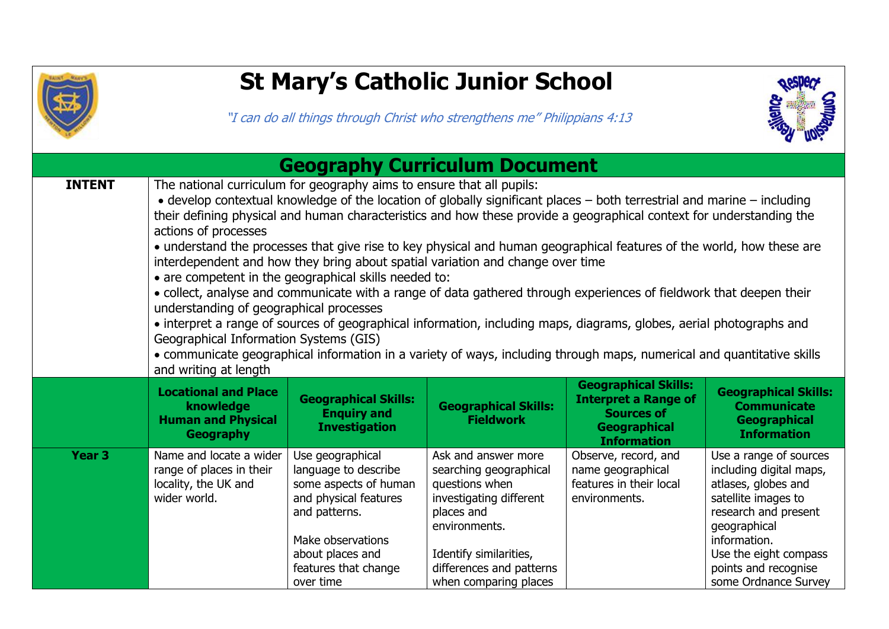

## **St Mary's Catholic Junior School**

"I can do all things through Christ who strengthens me" Philippians 4:13



| <b>Geography Curriculum Document</b> |                                                                                                                                                                                                                                                                                                                                                                                                                                                                                                                                                                                                                                                                                                                                                                                                                                                                                                                                                                                                                                                                                                             |                                                                                                                                                                                           |                                                                                                                                                                                                          |                                                                                                                       |                                                                                                                                                                                                                                  |  |
|--------------------------------------|-------------------------------------------------------------------------------------------------------------------------------------------------------------------------------------------------------------------------------------------------------------------------------------------------------------------------------------------------------------------------------------------------------------------------------------------------------------------------------------------------------------------------------------------------------------------------------------------------------------------------------------------------------------------------------------------------------------------------------------------------------------------------------------------------------------------------------------------------------------------------------------------------------------------------------------------------------------------------------------------------------------------------------------------------------------------------------------------------------------|-------------------------------------------------------------------------------------------------------------------------------------------------------------------------------------------|----------------------------------------------------------------------------------------------------------------------------------------------------------------------------------------------------------|-----------------------------------------------------------------------------------------------------------------------|----------------------------------------------------------------------------------------------------------------------------------------------------------------------------------------------------------------------------------|--|
| <b>INTENT</b>                        | The national curriculum for geography aims to ensure that all pupils:<br>• develop contextual knowledge of the location of globally significant places – both terrestrial and marine – including<br>their defining physical and human characteristics and how these provide a geographical context for understanding the<br>actions of processes<br>• understand the processes that give rise to key physical and human geographical features of the world, how these are<br>interdependent and how they bring about spatial variation and change over time<br>• are competent in the geographical skills needed to:<br>• collect, analyse and communicate with a range of data gathered through experiences of fieldwork that deepen their<br>understanding of geographical processes<br>• interpret a range of sources of geographical information, including maps, diagrams, globes, aerial photographs and<br>Geographical Information Systems (GIS)<br>• communicate geographical information in a variety of ways, including through maps, numerical and quantitative skills<br>and writing at length |                                                                                                                                                                                           |                                                                                                                                                                                                          |                                                                                                                       |                                                                                                                                                                                                                                  |  |
|                                      | <b>Locational and Place</b><br>knowledge<br><b>Human and Physical</b><br><b>Geography</b>                                                                                                                                                                                                                                                                                                                                                                                                                                                                                                                                                                                                                                                                                                                                                                                                                                                                                                                                                                                                                   | <b>Geographical Skills:</b><br><b>Enquiry and</b><br><b>Investigation</b>                                                                                                                 | <b>Geographical Skills:</b><br><b>Fieldwork</b>                                                                                                                                                          | <b>Geographical Skills:</b><br><b>Interpret a Range of</b><br><b>Sources of</b><br>Geographical<br><b>Information</b> | <b>Geographical Skills:</b><br><b>Communicate</b><br><b>Geographical</b><br><b>Information</b>                                                                                                                                   |  |
| Year <sub>3</sub>                    | Name and locate a wider<br>range of places in their<br>locality, the UK and<br>wider world.                                                                                                                                                                                                                                                                                                                                                                                                                                                                                                                                                                                                                                                                                                                                                                                                                                                                                                                                                                                                                 | Use geographical<br>language to describe<br>some aspects of human<br>and physical features<br>and patterns.<br>Make observations<br>about places and<br>features that change<br>over time | Ask and answer more<br>searching geographical<br>questions when<br>investigating different<br>places and<br>environments.<br>Identify similarities,<br>differences and patterns<br>when comparing places | Observe, record, and<br>name geographical<br>features in their local<br>environments.                                 | Use a range of sources<br>including digital maps,<br>atlases, globes and<br>satellite images to<br>research and present<br>geographical<br>information.<br>Use the eight compass<br>points and recognise<br>some Ordnance Survey |  |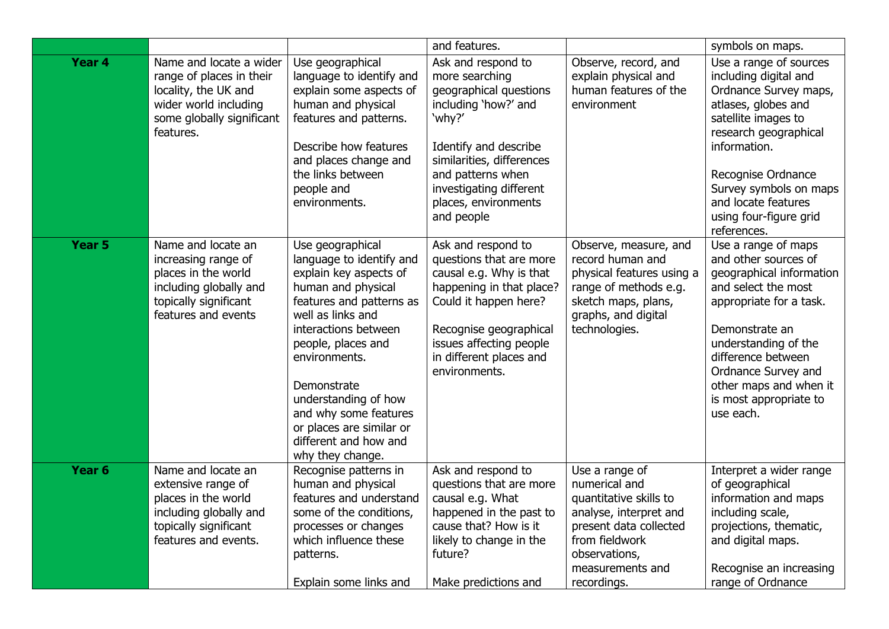|                   |                                                                                                                                                |                                                                                                                                                                                                                                                                                                                                                       | and features.                                                                                                                                                                                                                                |                                                                                                                                                                                     | symbols on maps.                                                                                                                                                                                                                                                                  |
|-------------------|------------------------------------------------------------------------------------------------------------------------------------------------|-------------------------------------------------------------------------------------------------------------------------------------------------------------------------------------------------------------------------------------------------------------------------------------------------------------------------------------------------------|----------------------------------------------------------------------------------------------------------------------------------------------------------------------------------------------------------------------------------------------|-------------------------------------------------------------------------------------------------------------------------------------------------------------------------------------|-----------------------------------------------------------------------------------------------------------------------------------------------------------------------------------------------------------------------------------------------------------------------------------|
| Year 4            | Name and locate a wider<br>range of places in their<br>locality, the UK and<br>wider world including<br>some globally significant<br>features. | Use geographical<br>language to identify and<br>explain some aspects of<br>human and physical<br>features and patterns.<br>Describe how features<br>and places change and<br>the links between<br>people and<br>environments.                                                                                                                         | Ask and respond to<br>more searching<br>geographical questions<br>including 'how?' and<br>'why?'<br>Identify and describe<br>similarities, differences<br>and patterns when<br>investigating different<br>places, environments<br>and people | Observe, record, and<br>explain physical and<br>human features of the<br>environment                                                                                                | Use a range of sources<br>including digital and<br>Ordnance Survey maps,<br>atlases, globes and<br>satellite images to<br>research geographical<br>information.<br>Recognise Ordnance<br>Survey symbols on maps<br>and locate features<br>using four-figure grid<br>references.   |
| Year <sub>5</sub> | Name and locate an<br>increasing range of<br>places in the world<br>including globally and<br>topically significant<br>features and events     | Use geographical<br>language to identify and<br>explain key aspects of<br>human and physical<br>features and patterns as<br>well as links and<br>interactions between<br>people, places and<br>environments.<br>Demonstrate<br>understanding of how<br>and why some features<br>or places are similar or<br>different and how and<br>why they change. | Ask and respond to<br>questions that are more<br>causal e.g. Why is that<br>happening in that place?<br>Could it happen here?<br>Recognise geographical<br>issues affecting people<br>in different places and<br>environments.               | Observe, measure, and<br>record human and<br>physical features using a<br>range of methods e.g.<br>sketch maps, plans,<br>graphs, and digital<br>technologies.                      | Use a range of maps<br>and other sources of<br>geographical information<br>and select the most<br>appropriate for a task.<br>Demonstrate an<br>understanding of the<br>difference between<br>Ordnance Survey and<br>other maps and when it<br>is most appropriate to<br>use each. |
| Year <sub>6</sub> | Name and locate an<br>extensive range of<br>places in the world<br>including globally and<br>topically significant<br>features and events.     | Recognise patterns in<br>human and physical<br>features and understand<br>some of the conditions,<br>processes or changes<br>which influence these<br>patterns.<br>Explain some links and                                                                                                                                                             | Ask and respond to<br>questions that are more<br>causal e.g. What<br>happened in the past to<br>cause that? How is it<br>likely to change in the<br>future?<br>Make predictions and                                                          | Use a range of<br>numerical and<br>quantitative skills to<br>analyse, interpret and<br>present data collected<br>from fieldwork<br>observations,<br>measurements and<br>recordings. | Interpret a wider range<br>of geographical<br>information and maps<br>including scale,<br>projections, thematic,<br>and digital maps.<br>Recognise an increasing<br>range of Ordnance                                                                                             |